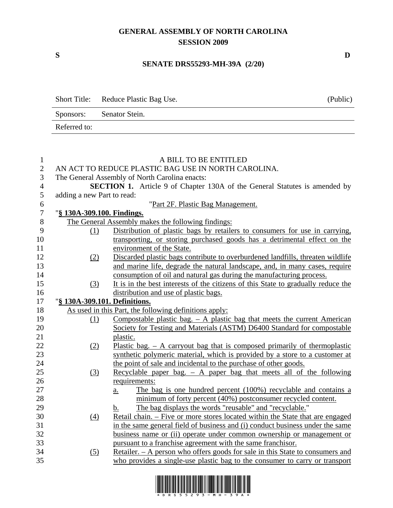## **GENERAL ASSEMBLY OF NORTH CAROLINA SESSION 2009**

## **SENATE DRS55293-MH-39A (2/20)**

|              | Short Title: Reduce Plastic Bag Use. | (Public) |
|--------------|--------------------------------------|----------|
|              | Sponsors: Senator Stein.             |          |
| Referred to: |                                      |          |

| $\mathbf{1}$     |                                                     | A BILL TO BE ENTITLED                                                                                                                                          |  |
|------------------|-----------------------------------------------------|----------------------------------------------------------------------------------------------------------------------------------------------------------------|--|
| $\overline{2}$   | AN ACT TO REDUCE PLASTIC BAG USE IN NORTH CAROLINA. |                                                                                                                                                                |  |
| 3                | The General Assembly of North Carolina enacts:      |                                                                                                                                                                |  |
| $\overline{4}$   |                                                     | <b>SECTION 1.</b> Article 9 of Chapter 130A of the General Statutes is amended by                                                                              |  |
| 5                | adding a new Part to read:                          |                                                                                                                                                                |  |
| $\boldsymbol{6}$ |                                                     | "Part 2F. Plastic Bag Management.                                                                                                                              |  |
| $\boldsymbol{7}$ | "§ 130A-309.100. Findings.                          |                                                                                                                                                                |  |
| $8\,$            |                                                     | The General Assembly makes the following findings:                                                                                                             |  |
| 9                | (1)                                                 | Distribution of plastic bags by retailers to consumers for use in carrying,                                                                                    |  |
| 10               |                                                     | transporting, or storing purchased goods has a detrimental effect on the                                                                                       |  |
| 11               |                                                     | environment of the State.                                                                                                                                      |  |
| 12               | (2)                                                 | Discarded plastic bags contribute to overburdened landfills, threaten wildlife                                                                                 |  |
| 13               |                                                     | and marine life, degrade the natural landscape, and, in many cases, require                                                                                    |  |
| 14               |                                                     | consumption of oil and natural gas during the manufacturing process.                                                                                           |  |
| 15               | (3)                                                 | It is in the best interests of the citizens of this State to gradually reduce the                                                                              |  |
| 16               |                                                     | distribution and use of plastic bags.                                                                                                                          |  |
| 17               | "§ 130A-309.101. Definitions.                       |                                                                                                                                                                |  |
| 18               |                                                     | As used in this Part, the following definitions apply:                                                                                                         |  |
| 19               | (1)                                                 | Compostable plastic bag. $-$ A plastic bag that meets the current American                                                                                     |  |
| 20               |                                                     | Society for Testing and Materials (ASTM) D6400 Standard for compostable                                                                                        |  |
| 21               |                                                     | plastic.                                                                                                                                                       |  |
| 22               | (2)                                                 | Plastic bag. $-$ A carryout bag that is composed primarily of thermoplastic                                                                                    |  |
| 23               |                                                     | synthetic polymeric material, which is provided by a store to a customer at                                                                                    |  |
| 24               |                                                     | the point of sale and incidental to the purchase of other goods.                                                                                               |  |
| 25               | (3)                                                 | Recyclable paper bag. $-$ A paper bag that meets all of the following                                                                                          |  |
| 26               |                                                     | requirements:                                                                                                                                                  |  |
| 27<br>28         |                                                     | The bag is one hundred percent (100%) recyclable and contains a<br>$\underline{a}$ .                                                                           |  |
| 29               |                                                     | minimum of forty percent (40%) postconsumer recycled content.                                                                                                  |  |
| 30               |                                                     | The bag displays the words "reusable" and "recyclable."<br>$\mathbf b$ .                                                                                       |  |
| 31               | (4)                                                 | Retail chain. – Five or more stores located within the State that are engaged<br>in the same general field of business and (i) conduct business under the same |  |
| 32               |                                                     | business name or (ii) operate under common ownership or management or                                                                                          |  |
| 33               |                                                     | pursuant to a franchise agreement with the same franchisor.                                                                                                    |  |
| 34               | (5)                                                 | Retailer. - A person who offers goods for sale in this State to consumers and                                                                                  |  |
| 35               |                                                     | who provides a single-use plastic bag to the consumer to carry or transport                                                                                    |  |
|                  |                                                     |                                                                                                                                                                |  |



**S D**